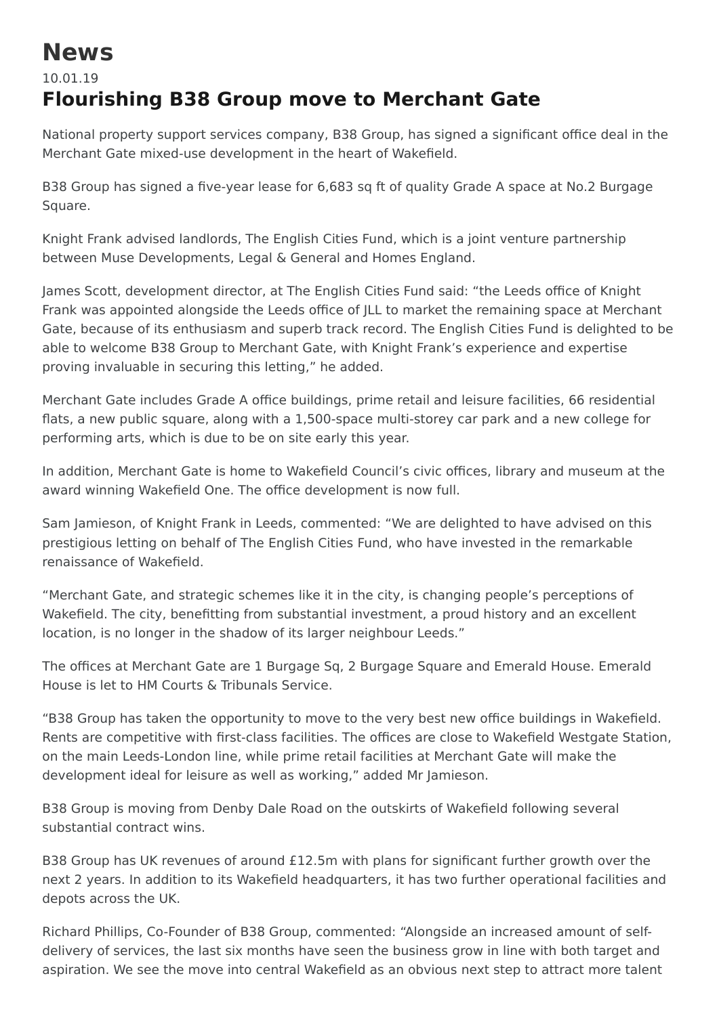## **News**

## 10.01.19 **Flourishing B38 Group move to Merchant Gate**

National property support services company, B38 Group, has signed a significant office deal in the Merchant Gate mixed-use development in the heart of Wakefield.

B38 Group has signed a five-year lease for 6,683 sq ft of quality Grade A space at No.2 Burgage Square.

Knight Frank advised landlords, The English Cities Fund, which is a joint venture partnership between Muse Developments, Legal & General and Homes England.

James Scott, development director, at The English Cities Fund said: "the Leeds office of Knight Frank was appointed alongside the Leeds office of JLL to market the remaining space at Merchant Gate, because of its enthusiasm and superb track record. The English Cities Fund is delighted to be able to welcome B38 Group to Merchant Gate, with Knight Frank's experience and expertise proving invaluable in securing this letting," he added.

Merchant Gate includes Grade A office buildings, prime retail and leisure facilities, 66 residential flats, a new public square, along with a 1,500-space multi-storey car park and a new college for performing arts, which is due to be on site early this year.

In addition, Merchant Gate is home to Wakefield Council's civic offices, library and museum at the award winning Wakefield One. The office development is now full.

Sam Jamieson, of Knight Frank in Leeds, commented: "We are delighted to have advised on this prestigious letting on behalf of The English Cities Fund, who have invested in the remarkable renaissance of Wakefield.

"Merchant Gate, and strategic schemes like it in the city, is changing people's perceptions of Wakefield. The city, benefitting from substantial investment, a proud history and an excellent location, is no longer in the shadow of its larger neighbour Leeds."

The offices at Merchant Gate are 1 Burgage Sq, 2 Burgage Square and Emerald House. Emerald House is let to HM Courts & Tribunals Service.

"B38 Group has taken the opportunity to move to the very best new office buildings in Wakefield. Rents are competitive with first-class facilities. The offices are close to Wakefield Westgate Station, on the main Leeds-London line, while prime retail facilities at Merchant Gate will make the development ideal for leisure as well as working," added Mr Jamieson.

B38 Group is moving from Denby Dale Road on the outskirts of Wakefield following several substantial contract wins.

B38 Group has UK revenues of around £12.5m with plans for significant further growth over the next 2 years. In addition to its Wakefield headquarters, it has two further operational facilities and depots across the UK.

Richard Phillips, Co-Founder of B38 Group, commented: "Alongside an increased amount of selfdelivery of services, the last six months have seen the business grow in line with both target and aspiration. We see the move into central Wakefield as an obvious next step to attract more talent